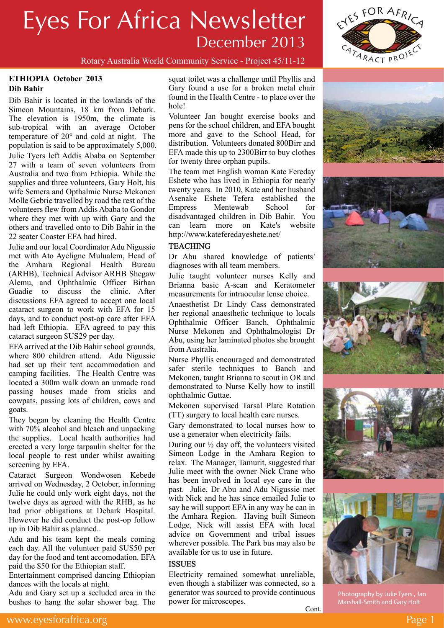

Rotary Australia World Community Service - Project 45/11-12

#### **ETHIOPIA October 2013 Dib Bahir**

Dib Bahir is located in the lowlands of the Simeon Mountains, 18 km from Debark. The elevation is 1950m, the climate is sub-tropical with an average October temperature of 20° and cold at night. The population is said to be approximately 5,000. Julie Tyers left Addis Ababa on September 27 with a team of seven volunteers from Australia and two from Ethiopia. While the supplies and three volunteers, Gary Holt, his wife Semera and Opthalmic Nurse Mekonen Molle Gebrie travelled by road the rest of the volunteers flew from Addis Ababa to Gondor where they met with up with Gary and the others and travelled onto to Dib Bahir in the 22 seater Coaster EFA had hired.

Julie and our local Coordinator Adu Nigussie met with Ato Ayeligne Mulualem, Head of the Amhara Regional Health Bureau (ARHB), Technical Advisor ARHB Shegaw Alemu, and Ophthalmic Officer Birhan Guadie to discuss the clinic. After discussions EFA agreed to accept one local cataract surgeon to work with EFA for 15 days, and to conduct post-op care after EFA had left Ethiopia. EFA agreed to pay this cataract surgeon \$US29 per day.

EFA arrived at the Dib Bahir school grounds, where 800 children attend. Adu Nigussie had set up their tent accommodation and camping facilities. The Health Centre was located a 300m walk down an unmade road passing houses made from sticks and cowpats, passing lots of children, cows and goats.

They began by cleaning the Health Centre with 70% alcohol and bleach and unpacking the supplies. Local health authorities had erected a very large tarpaulin shelter for the local people to rest under whilst awaiting screening by EFA.

Cataract Surgeon Wondwosen Kebede arrived on Wednesday, 2 October, informing Julie he could only work eight days, not the twelve days as agreed with the RHB, as he had prior obligations at Debark Hospital. However he did conduct the post-op follow up in Dib Bahir as planned..

Adu and his team kept the meals coming each day. All the volunteer paid \$US50 per day for the food and tent accomodation. EFA paid the \$50 for the Ethiopian staff.

Entertainment comprised dancing Ethiopian dances with the locals at night.

Adu and Gary set up a secluded area in the bushes to hang the solar shower bag. The squat toilet was a challenge until Phyllis and Gary found a use for a broken metal chair found in the Health Centre - to place over the hole!

Volunteer Jan bought exercise books and pens for the school children, and EFA bought more and gave to the School Head, for distribution. Volunteers donated 800Birr and EFA made this up to 2300Birr to buy clothes for twenty three orphan pupils.

The team met English woman Kate Fereday Eshete who has lived in Ethiopia for nearly twenty years. In 2010, Kate and her husband Asenake Eshete Tefera established the Empress Mentewab School for disadvantaged children in Dib Bahir. You can learn more on Kate's website http://www.kateferedayeshete.net/

### **TEACHING**

Dr Abu shared knowledge of patients' diagnoses with all team members.

Julie taught volunteer nurses Kelly and Brianna basic A-scan and Keratometer measurements for intraocular lense choice.

Anaesthetist Dr Lindy Cass demonstrated her regional anaesthetic technique to locals Ophthalmic Officer Banch, Ophthalmic Nurse Mekonen and Ophthalmologist Dr Abu, using her laminated photos she brought from Australia.

Nurse Phyllis encouraged and demonstrated safer sterile techniques to Banch and Mekonen, taught Brianna to scout in OR and demonstrated to Nurse Kelly how to instill ophthalmic Guttae.

Mekonen supervised Tarsal Plate Rotation (TT) surgery to local health care nurses.

Gary demonstrated to local nurses how to use a generator when electricity fails.

During our  $\frac{1}{2}$  day off, the volunteers visited Simeon Lodge in the Amhara Region to relax. The Manager, Tamurit, suggested that Julie meet with the owner Nick Crane who has been involved in local eye care in the past. Julie, Dr Abu and Adu Nigussie met with Nick and he has since emailed Julie to say he will support EFA in any way he can in the Amhara Region. Having built Simeon Lodge, Nick will assist EFA with local advice on Government and tribal issues wherever possible. The Park bus may also be available for us to use in future.

### **ISSUES**

Electricity remained somewhat unreliable, even though a stabilizer was connected, so a generator was sourced to provide continuous power for microscopes. Cont.











Photography by Julie Tyers , Jan Marshall-Smith and Gary Holt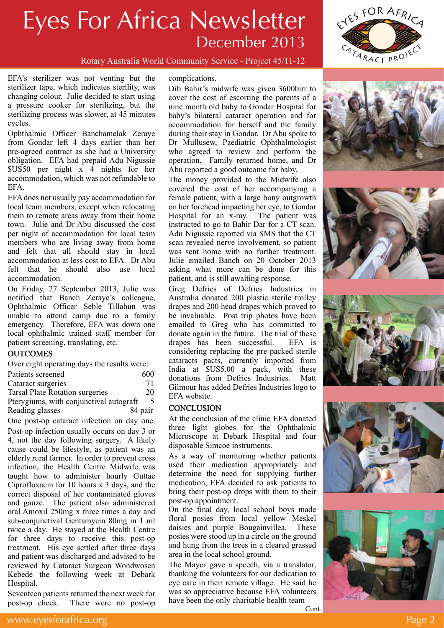

EFA's sterilizer was not venting but the sterilizer tape, which indicates sterility, was changing colour. Julie decided to start using a pressure cooker for sterilizing, but the sterilizing process was slower, at 45 minutes cycles.

Ophthalmic Officer Banchamelak Zeraye from Gondar left 4 days earlier than her pre-agreed contract as she had a University obligation. EFA had prepaid Adu Nigussie \$US50 per night x 4 nights for her accommodation, which was not refundable to EFA.

EFA does not usually pay accommodation for local team members, except when relocating them to remote areas away from their home town. Julie and Dr Abu discussed the cost per night of accommodation for local team members who are living away from home and felt that all should stay in local accommodation at less cost to EFA. Dr Abu felt that he should also use local accommodation.

On Friday, 27 September 2013, Julie was notified that Banch Zeraye's colleague, Ophthalmic Officer Seble Tillahun was unable to attend camp due to a family emergency. Therefore, EFA was down one local ophthalmic trained staff member for patient screening, translating, etc.

### **OUTCOMES**

Over eight operating days the results were:

| Patients screened | 600 |
|-------------------|-----|
|-------------------|-----|

| Cataract surgeries | 71 |
|--------------------|----|
| $\overline{ }$     |    |

Tarsal Plate Rotation surgeries 20

Pterygiums, with conjunctival autograft 5 Reading glasses 84 pair

One post-op cataract infection on day one. Post-op infection usually occurs on day 3 or 4, not the day following surgery. A likely cause could be lifestyle, as patient was an elderly rural farmer. In order to prevent cross infection, the Health Centre Midwife was taught how to administer hourly Guttae Ciprofloxacin for 10 hours x 3 days, and the correct disposal of her contaminated gloves and gauze. The patient also administered oral Amoxil 250mg x three times a day and sub-conjunctival Gentamycin 80mg in 1 ml twice a day. He stayed at the Health Centre for three days to receive this post-op treatment. His eye settled after three days and patient was discharged and advised to be reviewed by Cataract Surgeon Wondwosen Kebede the following week at Debark Hospital.

Seventeen patients returned the next week for post-op check. There were no post-op

complications.

Rotary Australia World Community Service - Project 45/11-12

Dib Bahir's midwife was given 3600birr to cover the cost of escorting the parents of a nine month old baby to Gondar Hospital for baby's bilateral cataract operation and for accommodation for herself and the family during their stay in Gondar. Dr Abu spoke to Dr Mullusew, Paediatric Ophthalmologist who agreed to review and perform the operation. Family returned home, and Dr Abu reported a good outcome for baby.

The money provided to the Midwife also covered the cost of her accompanying a female patient, with a large bony outgrowth on her forehead impacting her eye, to Gondar Hospital for an x-ray. The patient was instructed to go to Bahir Dar for a CT scan. Adu Nigussie reported via SMS that the CT scan revealed nerve involvement, so patient was sent home with no further treatment. Julie emailed Banch on 20 October 2013 asking what more can be done for this patient, and is still awaiting response.

Greg Defries of Defries Industries in Australia donated 200 plastic sterile trolley drapes and 200 head drapes which proved to be invaluable. Post trip photos have been emailed to Greg who has committed to donate again in the future. The trial of these drapes has been successful. EFA is considering replacing the pre-packed sterile cataracts pacts, currently imported from India at \$US5.00 a pack, with these donations from Defries Industries. Matt Gilmour has added Defries Industries logo to EFA website.

### **CONCLUSION**

At the conclusion of the clinic EFA donated three light globes for the Ophthalmic Microscope at Debark Hospital and four disposable Simcoe instruments.

As a way of monitoring whether patients used their medication appropriately and determine the need for supplying further medication, EFA decided to ask patients to bring their post-op drops with them to their post-op appointment.

On the final day, local school boys made floral posies from local yellow Meskel daisies and purple Bougainvillea. These posies were stood up in a circle on the ground and hung from the trees in a cleared grassed area in the local school ground.

The Mayor gave a speech, via a translator, thanking the volunteers for our dedication to eye care in their remote village. He said he was so appreciative because EFA volunteers have been the only charitable health team









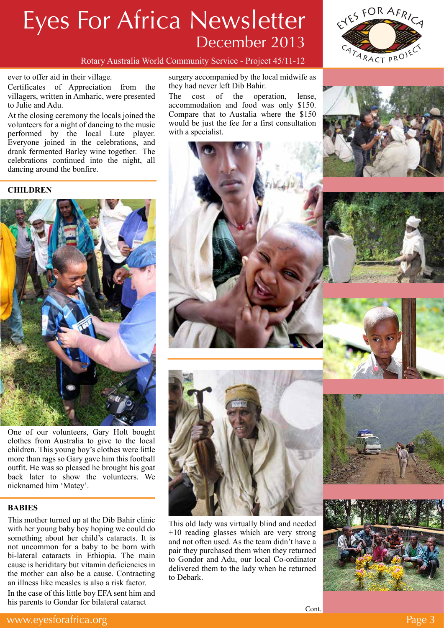

Rotary Australia World Community Service - Project 45/11-12

#### ever to offer aid in their village.

Certificates of Appreciation from the villagers, written in Amharic, were presented to Julie and Adu.

At the closing ceremony the locals joined the volunteers for a night of dancing to the music performed by the local Lute player. Everyone joined in the celebrations, and drank fermented Barley wine together. The celebrations continued into the night, all dancing around the bonfire.

### **CHILDREN**



One of our volunteers, Gary Holt bought clothes from Australia to give to the local children. This young boy's clothes were little more than rags so Gary gave him this football outfit. He was so pleased he brought his goat back later to show the volunteers. We nicknamed him 'Matey'.

### **BABIES**

This mother turned up at the Dib Bahir clinic with her young baby boy hoping we could do something about her child's cataracts. It is not uncommon for a baby to be born with bi-lateral cataracts in Ethiopia. The main cause is heriditary but vitamin deficiencies in the mother can also be a cause. Contracting an illness like measles is also a risk factor.

In the case of this little boy EFA sent him and his parents to Gondar for bilateral cataract

surgery accompanied by the local midwife as they had never left Dib Bahir.

The cost of the operation, lense, accommodation and food was only \$150. Compare that to Austalia where the \$150 would be just the fee for a first consultation with a specialist.





This old lady was virtually blind and needed +10 reading glasses which are very strong and not often used. As the team didn't have a pair they purchased them when they returned to Gondor and Adu, our local Co-ordinator delivered them to the lady when he returned to Debark.





Cont.